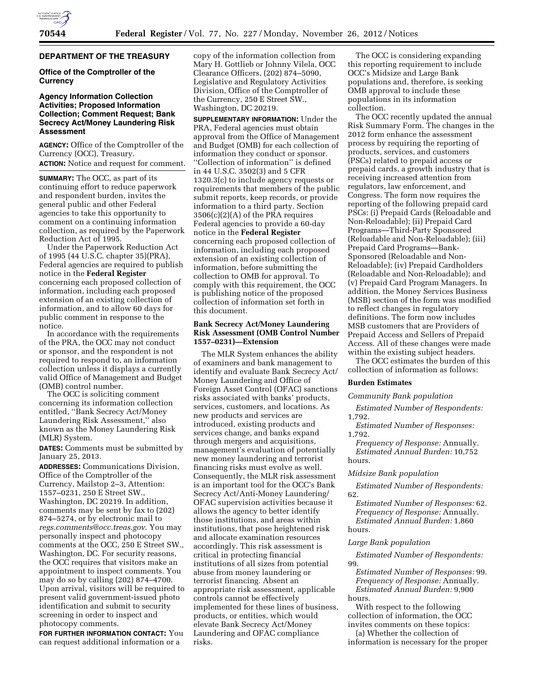# **DEPARTMENT OF THE TREASURY**

# **Office of the Comptroller of the Currency**

# **Agency Information Collection Activities; Proposed Information Collection; Comment Request; Bank Secrecy Act/Money Laundering Risk Assessment**

**AGENCY:** Office of the Comptroller of the Currency (OCC), Treasury. **ACTION:** Notice and request for comment.

**SUMMARY:** The OCC, as part of its continuing effort to reduce paperwork and respondent burden, invites the general public and other Federal agencies to take this opportunity to comment on a continuing information collection, as required by the Paperwork Reduction Act of 1995.

Under the Paperwork Reduction Act of 1995 (44 U.S.C. chapter 35)(PRA), Federal agencies are required to publish notice in the **Federal Register**  concerning each proposed collection of information, including each proposed extension of an existing collection of information, and to allow 60 days for public comment in response to the notice.

In accordance with the requirements of the PRA, the OCC may not conduct or sponsor, and the respondent is not required to respond to, an information collection unless it displays a currently valid Office of Management and Budget (OMB) control number.

The OCC is soliciting comment concerning its information collection entitled, ''Bank Secrecy Act/Money Laundering Risk Assessment,'' also known as the Money Laundering Risk (MLR) System.

**DATES:** Comments must be submitted by January 25, 2013.

**ADDRESSES:** Communications Division, Office of the Comptroller of the Currency, Mailstop 2–3, Attention: 1557–0231, 250 E Street SW., Washington, DC 20219. In addition, comments may be sent by fax to (202) 874–5274, or by electronic mail to *[regs.comments@occ.treas.gov](mailto:regs.comments@occ.treas.gov)*. You may personally inspect and photocopy comments at the OCC, 250 E Street SW., Washington, DC. For security reasons, the OCC requires that visitors make an appointment to inspect comments. You may do so by calling (202) 874–4700. Upon arrival, visitors will be required to present valid government-issued photo identification and submit to security screening in order to inspect and photocopy comments.

**FOR FURTHER INFORMATION CONTACT:** You can request additional information or a

copy of the information collection from Mary H. Gottlieb or Johnny Vilela, OCC Clearance Officers, (202) 874–5090, Legislative and Regulatory Activities Division, Office of the Comptroller of the Currency, 250 E Street SW., Washington, DC 20219.

**SUPPLEMENTARY INFORMATION:** Under the PRA, Federal agencies must obtain approval from the Office of Management and Budget (OMB) for each collection of information they conduct or sponsor. ''Collection of information'' is defined in 44 U.S.C. 3502(3) and 5 CFR 1320.3(c) to include agency requests or requirements that members of the public submit reports, keep records, or provide information to a third party. Section 3506(c)(2)(A) of the PRA requires Federal agencies to provide a 60-day notice in the **Federal Register**  concerning each proposed collection of information, including each proposed extension of an existing collection of information, before submitting the collection to OMB for approval. To comply with this requirement, the OCC is publishing notice of the proposed collection of information set forth in this document.

### **Bank Secrecy Act/Money Laundering Risk Assessment (OMB Control Number 1557–0231)—Extension**

The MLR System enhances the ability of examiners and bank management to identify and evaluate Bank Secrecy Act/ Money Laundering and Office of Foreign Asset Control (OFAC) sanctions risks associated with banks' products, services, customers, and locations. As new products and services are introduced, existing products and services change, and banks expand through mergers and acquisitions, management's evaluation of potentially new money laundering and terrorist financing risks must evolve as well. Consequently, the MLR risk assessment is an important tool for the OCC's Bank Secrecy Act/Anti-Money Laundering/ OFAC supervision activities because it allows the agency to better identify those institutions, and areas within institutions, that pose heightened risk and allocate examination resources accordingly. This risk assessment is critical in protecting financial institutions of all sizes from potential abuse from money laundering or terrorist financing. Absent an appropriate risk assessment, applicable controls cannot be effectively implemented for these lines of business, products, or entities, which would elevate Bank Secrecy Act/Money Laundering and OFAC compliance risks.

The OCC is considering expanding this reporting requirement to include OCC's Midsize and Large Bank populations and, therefore, is seeking OMB approval to include these populations in its information collection.

The OCC recently updated the annual Risk Summary Form. The changes in the 2012 form enhance the assessment process by requiring the reporting of products, services, and customers (PSCs) related to prepaid access or prepaid cards, a growth industry that is receiving increased attention from regulators, law enforcement, and Congress. The form now requires the reporting of the following prepaid card PSCs: (i) Prepaid Cards (Reloadable and Non-Reloadable); (ii) Prepaid Card Programs—Third-Party Sponsored (Reloadable and Non-Reloadable); (iii) Prepaid Card Programs—Bank-Sponsored (Reloadable and Non-Reloadable); (iv) Prepaid Cardholders (Reloadable and Non-Reloadable); and (v) Prepaid Card Program Managers. In addition, the Money Services Business (MSB) section of the form was modified to reflect changes in regulatory definitions. The form now includes MSB customers that are Providers of Prepaid Access and Sellers of Prepaid Access. All of these changes were made within the existing subject headers.

The OCC estimates the burden of this collection of information as follows:

## **Burden Estimates**

# *Community Bank population*

*Estimated Number of Respondents:*  1,792.

*Estimated Number of Responses:*  1,792.

*Frequency of Response:* Annually. *Estimated Annual Burden:* 10,752 hours.

### *Midsize Bank population*

*Estimated Number of Respondents:*  62.

*Estimated Number of Responses:* 62. *Frequency of Response:* Annually. *Estimated Annual Burden:* 1,860 hours.

### *Large Bank population*

*Estimated Number of Respondents:*  99.

*Estimated Number of Responses:* 99. *Frequency of Response:* Annually. *Estimated Annual Burden:* 9,900 hours.

With respect to the following collection of information, the OCC invites comments on these topics:

(a) Whether the collection of information is necessary for the proper